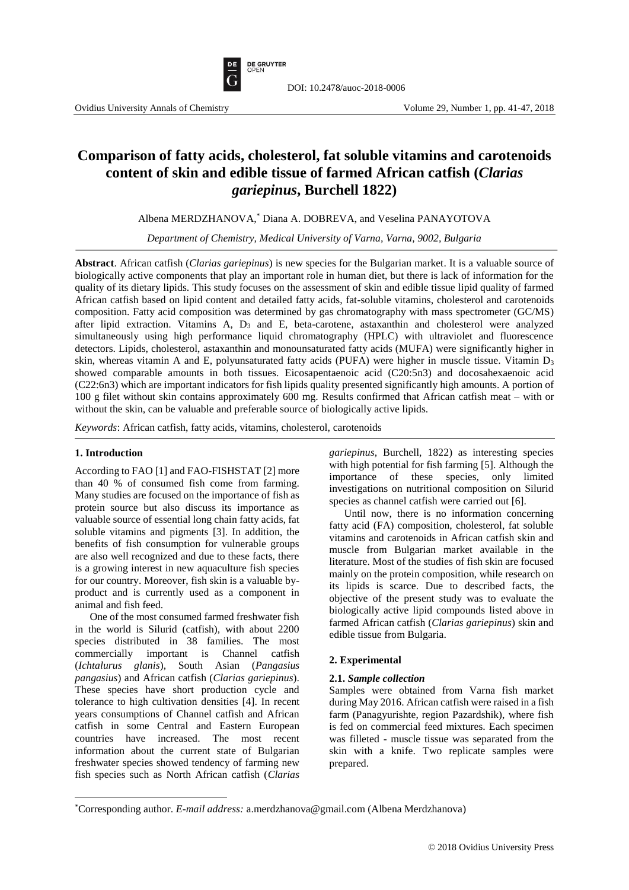

# **Comparison of fatty acids, cholesterol, fat soluble vitamins and carotenoids content of skin and edible tissue of farmed African catfish (***Clarias gariepinus***, Burchell 1822)**

DOI: 10.2478/auoc-2018-0006

Albena MERDZHANOVA, \* Diana A. DOBREVA, and Veselina PANAYOTOVA

*Department of Chemistry, Medical University of Varna, Varna, 9002, Bulgaria* 

**Abstract**. African catfish (*Clarias gariepinus*) is new species for the Bulgarian market. It is a valuable source of biologically active components that play an important role in human diet, but there is lack of information for the quality of its dietary lipids. This study focuses on the assessment of skin and edible tissue lipid quality of farmed African catfish based on lipid content and detailed fatty acids, fat-soluble vitamins, cholesterol and carotenoids composition. Fatty acid composition was determined by gas chromatography with mass spectrometer (GC/MS) after lipid extraction. Vitamins A, D<sup>3</sup> and E, beta-carotene, astaxanthin and cholesterol were analyzed simultaneously using high performance liquid chromatography (HPLC) with ultraviolet and fluorescence detectors. Lipids, cholesterol, astaxanthin and monounsaturated fatty acids (MUFA) were significantly higher in skin, whereas vitamin A and E, polyunsaturated fatty acids (PUFA) were higher in muscle tissue. Vitamin  $D_3$ showed comparable amounts in both tissues. Eicosapentaenoic acid (C20:5n3) and docosahexaenoic acid (C22:6n3) which are important indicators for fish lipids quality presented significantly high amounts. A portion of 100 g filet without skin contains approximately 600 mg. Results confirmed that African catfish meat – with or without the skin, can be valuable and preferable source of biologically active lipids.

*Keywords*: African catfish, fatty acids, vitamins, cholesterol, carotenoids

#### **1. Introduction**

 $\overline{\phantom{a}}$ 

According to FAO [1] and FAO-FISHSTAT [2] more than 40 % of consumed fish come from farming. Many studies are focused on the importance of fish as protein source but also discuss its importance as valuable source of essential long chain fatty acids, fat soluble vitamins and pigments [3]. In addition, the benefits of fish consumption for vulnerable groups are also well recognized and due to these facts, there is a growing interest in new aquaculture fish species for our country. Moreover, fish skin is a valuable byproduct and is currently used as a component in animal and fish feed.

One of the most consumed farmed freshwater fish in the world is Silurid (catfish), with about 2200 species distributed in 38 families. The most commercially important is Channel catfish (*Ichtalurus glanis*), South Asian (*Pangasius pangasius*) and African catfish (*Clarias gariepinus*). These species have short production cycle and tolerance to high cultivation densities [4]. In recent years consumptions of Channel catfish and African catfish in some Central and Eastern European countries have increased. The most recent information about the current state of Bulgarian freshwater species showed tendency of farming new fish species such as North African catfish (*Clarias*  *gariepinus*, Burchell, 1822) as interesting species with high potential for fish farming [5]. Although the importance of these species, only limited investigations on nutritional composition on Silurid species as channel catfish were carried out [6].

Until now, there is no information concerning fatty acid (FA) composition, cholesterol, fat soluble vitamins and carotenoids in African catfish skin and muscle from Bulgarian market available in the literature. Most of the studies of fish skin are focused mainly on the protein composition, while research on its lipids is scarce. Due to described facts, the objective of the present study was to evaluate the biologically active lipid compounds listed above in farmed African catfish (*Clarias gariepinus*) skin and edible tissue from Bulgaria.

# **2. Experimental**

#### **2.1.** *Sample collection*

Samples were obtained from Varna fish market during May 2016. African catfish were raised in a fish farm (Panagyurishte, region Pazardshik), where fish is fed on commercial feed mixtures. Each specimen was filleted - muscle tissue was separated from the skin with a knife. Two replicate samples were prepared.

<sup>\*</sup>Corresponding author. *E-mail address:* a.merdzhanova@gmail.com (Albena Merdzhanova)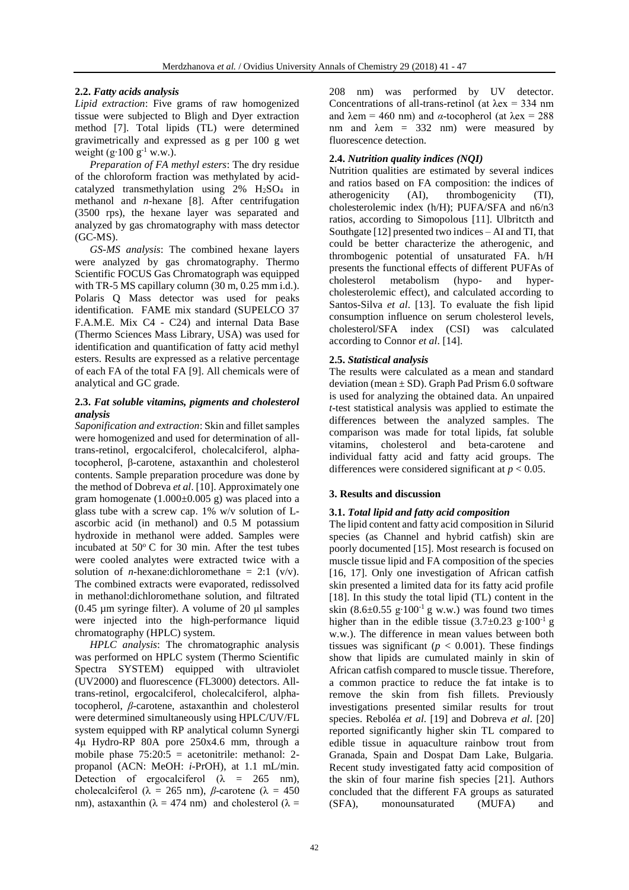# **2.2.** *Fatty acids analysis*

*Lipid extraction*: Five grams of raw homogenized tissue were subjected to Bligh and Dyer extraction method [7]. Total lipids (TL) were determined gravimetrically and expressed as g per 100 g wet weight  $(g \cdot 100 g^{-1}$  w.w.).

*Preparation of FA methyl esters*: The dry residue of the chloroform fraction was methylated by acidcatalyzed transmethylation using  $2\%$  H<sub>2</sub>SO<sub>4</sub> in methanol and *n*-hexane [8]. After centrifugation (3500 rps), the hexane layer was separated and analyzed by gas chromatography with mass detector (GC-MS).

*GS-MS analysis*: The combined hexane layers were analyzed by gas chromatography. Thermo Scientific FOCUS Gas Chromatograph was equipped with TR-5 MS capillary column (30 m, 0.25 mm i.d.). Polaris Q Mass detector was used for peaks identification. FAME mix standard (SUPELCO 37 F.A.M.E. Mix C4 - C24) and internal Data Base (Thermo Sciences Mass Library, USA) was used for identification and quantification of fatty acid methyl esters. Results are expressed as a relative percentage of each FA of the total FA [9]. All chemicals were of analytical and GC grade.

#### **2.3.** *Fat soluble vitamins, pigments and cholesterol analysis*

*Saponification and extraction*: Skin and fillet samples were homogenized and used for determination of alltrans-retinol, ergocalciferol, cholecalciferol, alphatocopherol, β-carotene, astaxanthin and cholesterol contents. Sample preparation procedure was done by the method of Dobreva *et al*. [10]. Approximately one gram homogenate  $(1.000\pm0.005 \text{ g})$  was placed into a glass tube with a screw cap. 1% w/v solution of Lascorbic acid (in methanol) and 0.5 M potassium hydroxide in methanol were added. Samples were incubated at  $50^{\circ}$  C for 30 min. After the test tubes were cooled analytes were extracted twice with a solution of *n*-hexane:dichloromethane = 2:1 ( $v/v$ ). The combined extracts were evaporated, redissolved in methanol:dichloromethane solution, and filtrated (0.45  $\mu$ m syringe filter). A volume of 20  $\mu$ l samples were injected into the high-performance liquid chromatography (HPLC) system.

*HPLC analysis*: The chromatographic analysis was performed on HPLC system (Thermo Scientific Spectra SYSTEM) equipped with ultraviolet (UV2000) and fluorescence (FL3000) detectors. Alltrans-retinol, ergocalciferol, cholecalciferol, alphatocopherol, *β*-carotene, astaxanthin and cholesterol were determined simultaneously using HPLC/UV/FL system equipped with RP analytical column Synergi 4μ Hydro-RP 80A pore 250x4.6 mm, through a mobile phase  $75:20:5 =$  acetonitrile: methanol: 2propanol (ACN: MeOH: *i*-PrOH), at 1.1 mL/min. Detection of ergocalciferol ( $\lambda$  = 265 nm), cholecalciferol ( $λ = 265$  nm),  $β$ -carotene ( $λ = 450$ nm), astaxanthin ( $\lambda = 474$  nm) and cholesterol ( $\lambda =$ 

208 nm) was performed by UV detector. Concentrations of all-trans-retinol (at  $\lambda$ ex = 334 nm and  $\lambda$ em = 460 nm) and  $\alpha$ -tocopherol (at  $\lambda$ ex = 288 nm and  $\lambda$ em = 332 nm) were measured by fluorescence detection.

# **2.4.** *Nutrition quality indices (NQI)*

Nutrition qualities are estimated by several indices and ratios based on FA composition: the indices of atherogenicity (AI), thrombogenicity (TI), cholesterolemic index (h/H); PUFA/SFA and n6/n3 ratios, according to Simopolous [11]. Ulbritcth and Southgate [12] presented two indices – AI and TI, that could be better characterize the atherogenic, and thrombogenic potential of unsaturated FA. h/H presents the functional effects of different PUFAs of cholesterol metabolism (hypo- and hypercholesterolemic effect), and calculated according to Santos-Silva *et al*. [13]. To evaluate the fish lipid consumption influence on serum cholesterol levels, cholesterol/SFA index (CSI) was calculated according to Connor *et al*. [14].

# **2.5.** *Statistical analysis*

The results were calculated as a mean and standard deviation (mean  $\pm$  SD). Graph Pad Prism 6.0 software is used for analyzing the obtained data. An unpaired *t*-test statistical analysis was applied to estimate the differences between the analyzed samples. The comparison was made for total lipids, fat soluble vitamins, cholesterol and beta-carotene and individual fatty acid and fatty acid groups. The differences were considered significant at  $p < 0.05$ .

# **3. Results and discussion**

# **3.1.** *Total lipid and fatty acid composition*

The lipid content and fatty acid composition in Silurid species (as Channel and hybrid catfish) skin are poorly documented [15]. Most research is focused on muscle tissue lipid and FA composition of the species [16, 17]. Only one investigation of African catfish skin presented a limited data for its fatty acid profile [18]. In this study the total lipid (TL) content in the skin (8.6±0.55 g⋅100<sup>-1</sup> g w.w.) was found two times higher than in the edible tissue (3.7±0.23 g⋅100<sup>-1</sup> g w.w.). The difference in mean values between both tissues was significant ( $p < 0.001$ ). These findings show that lipids are cumulated mainly in skin of African catfish compared to muscle tissue. Therefore, a common practice to reduce the fat intake is to remove the skin from fish fillets. Previously investigations presented similar results for trout species. Reboléa *et al*. [19] and Dobreva *et al*. [20] reported significantly higher skin TL compared to edible tissue in aquaculture rainbow trout from Granada, Spain and Dospat Dam Lake, Bulgaria. Recent study investigated fatty acid composition of the skin of four marine fish species [21]. Authors concluded that the different FA groups as saturated (SFA), monounsaturated (MUFA) and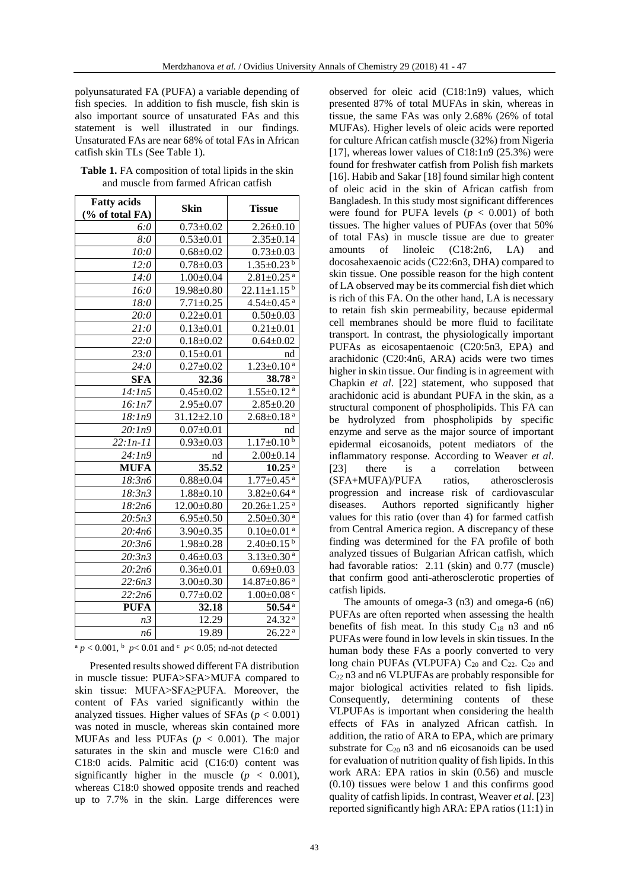polyunsaturated FA (PUFA) a variable depending of fish species. In addition to fish muscle, fish skin is also important source of unsaturated FAs and this statement is well illustrated in our findings. Unsaturated FAs are near 68% of total FAs in African catfish skin TLs (See Table 1).

| <b>Table 1.</b> FA composition of total lipids in the skin |
|------------------------------------------------------------|
| and muscle from farmed African catfish                     |

| <b>Fatty acids</b> |                            |                               |  |
|--------------------|----------------------------|-------------------------------|--|
| (% of total FA)    | <b>Skin</b>                | <b>Tissue</b>                 |  |
| 6:0                | $0.73 \pm 0.02$            | $2.26 \pm 0.10$               |  |
| 8:0                | $0.53 \pm 0.01$            | $2.35 \pm 0.14$               |  |
| 10:0               | $0.68 \pm 0.02$            | $0.73 \pm 0.03$               |  |
| 12:0               | $0.78 + 0.03$              | $1.35 \pm 0.23$ <sup>b</sup>  |  |
| 14:0               | $1.00 \pm 0.04$            | $2.81 \pm 0.25$ <sup>a</sup>  |  |
| 16:0               | $19.98 \pm 0.80$           | $22.11 \pm 1.15^{b}$          |  |
| 18:0               | $7.71 \pm 0.25$            | $4.54 \pm 0.45$ <sup>a</sup>  |  |
| 20:0               | $0.22 \pm 0.01$            | $0.50 + 0.03$                 |  |
| 21:0               | $0.13 \pm 0.01$            | $0.21 \pm 0.01$               |  |
| 22:0               | $0.18 \pm 0.02$            | $0.64 \pm 0.02$               |  |
| $\overline{2}3:0$  | $0.15 \pm 0.01$            | nd                            |  |
| 24:0               | $\overline{0.27} \pm 0.02$ | $1.\overline{23\pm0.10^a}$    |  |
| <b>SFA</b>         | 32.36                      | 38.78 <sup>a</sup>            |  |
| 14:1n5             | $0.45 \pm 0.02$            | $1.55 \pm 0.12$ <sup>a</sup>  |  |
| 16:1n7             | $2.95 \pm 0.07$            | $2.85 \pm 0.20$               |  |
| 18:1n9             | $31.12 \pm 2.10$           | $2.68 \pm 0.18$ <sup>a</sup>  |  |
| 20:1n9             | $0.07 \pm 0.01$            | nd                            |  |
| $22:1n-11$         | $0.93 \pm 0.03$            | $1.17 \pm 0.10^{b}$           |  |
| 24:1n9             | nd                         | $2.00 \pm 0.14$               |  |
| <b>MUFA</b>        | 35.52                      | $10.25^{a}$                   |  |
| 18:3n6             | $0.88 \pm 0.04$            | $1.77 \pm 0.45$ <sup>a</sup>  |  |
| 18:3n3             | $1.88 \pm 0.10$            | $3.82 \pm 0.64$ <sup>a</sup>  |  |
| 18:2n6             | $12.00 \pm 0.80$           | $20.26 \pm 1.25$ <sup>a</sup> |  |
| 20:5n3             | $6.95 \pm 0.50$            | $2.50 \pm 0.30$ <sup>a</sup>  |  |
| 20:4n6             | $3.90 \pm 0.35$            | $0.10 \pm 0.01$ <sup>a</sup>  |  |
| 20:3n6             | $1.98 + 0.28$              | $2.40 \pm 0.15$ <sup>b</sup>  |  |
| 20:3n3             | $0.46 \pm 0.03$            | $3.13 \pm 0.30$ <sup>a</sup>  |  |
| 20:2n6             | $0.36 \pm 0.01$            | $0.69 \pm 0.03$               |  |
| 22:6n3             | $3.00 \pm 0.30$            | $14.87 \pm 0.86$ <sup>a</sup> |  |
| 22:2n6             | $0.77 + 0.02$              | $1.00 \pm 0.08$ <sup>c</sup>  |  |
| <b>PUFA</b>        | 32.18                      | $50.54$ <sup>a</sup>          |  |
| n <sub>3</sub>     | 12.29                      | 24.32 <sup>a</sup>            |  |
| <i>n</i> 6         | 19.89                      | $26.22^{a}$                   |  |

 $a \cdot p < 0.001$ ,  $b \cdot p < 0.01$  and  $c \cdot p < 0.05$ ; nd-not detected

Presented results showed different FA distribution in muscle tissue: PUFA>SFA>MUFA compared to skin tissue: MUFA>SFA≥PUFA. Moreover, the content of FAs varied significantly within the analyzed tissues. Higher values of SFAs  $(p < 0.001)$ was noted in muscle, whereas skin contained more MUFAs and less PUFAs  $(p < 0.001)$ . The major saturates in the skin and muscle were C16:0 and C18:0 acids. Palmitic acid (C16:0) content was significantly higher in the muscle  $(p < 0.001)$ , whereas C18:0 showed opposite trends and reached up to 7.7% in the skin. Large differences were

observed for oleic acid (C18:1n9) values, which presented 87% of total MUFAs in skin, whereas in tissue, the same FAs was only 2.68% (26% of total MUFAs). Higher levels of oleic acids were reported for culture African catfish muscle (32%) from Nigeria [17], whereas lower values of  $C18:1n9$  (25.3%) were found for freshwater catfish from Polish fish markets [16]. Habib and Sakar [18] found similar high content of oleic acid in the skin of African catfish from Bangladesh. In this study most significant differences were found for PUFA levels  $(p < 0.001)$  of both tissues. The higher values of PUFAs (over that 50% of total FAs) in muscle tissue are due to greater amounts of linoleic (C18:2n6, LA) and docosahexaenoic acids (C22:6n3, DHA) compared to skin tissue. One possible reason for the high content of LA observed may be its commercial fish diet which is rich of this FA. On the other hand, LA is necessary to retain fish skin permeability, because epidermal cell membranes should be more fluid to facilitate transport. In contrast, the physiologically important PUFAs as eicosapentaenoic (C20:5n3, EPA) and arachidonic (C20:4n6, ARA) acids were two times higher in skin tissue. Our finding is in agreement with Chapkin *et al*. [22] statement, who supposed that arachidonic acid is abundant PUFA in the skin, as a structural component of phospholipids. This FA can be hydrolyzed from phospholipids by specific enzyme and serve as the major source of important epidermal eicosanoids, potent mediators of the inflammatory response. According to Weaver *et al*. [23] there is a correlation between (SFA+MUFA)/PUFA ratios, atherosclerosis progression and increase risk of cardiovascular diseases. Authors reported significantly higher values for this ratio (over than 4) for farmed catfish from Central America region. A discrepancy of these finding was determined for the FA profile of both analyzed tissues of Bulgarian African catfish, which had favorable ratios: 2.11 (skin) and 0.77 (muscle) that confirm good anti-atherosclerotic properties of catfish lipids.

The amounts of omega-3 (n3) and omega-6 (n6) PUFAs are often reported when assessing the health benefits of fish meat. In this study  $C_{18}$  n3 and n6 PUFAs were found in low levels in skin tissues. In the human body these FAs a poorly converted to very long chain PUFAs (VLPUFA)  $C_{20}$  and  $C_{22}$ .  $C_{20}$  and C<sup>22</sup> n3 and n6 VLPUFAs are probably responsible for major biological activities related to fish lipids. Consequently, determining contents of these VLPUFAs is important when considering the health effects of FAs in analyzed African catfish. In addition, the ratio of ARA to EPA, which are primary substrate for  $C_{20}$  n3 and n6 eicosanoids can be used for evaluation of nutrition quality of fish lipids. In this work ARA: EPA ratios in skin (0.56) and muscle (0.10) tissues were below 1 and this confirms good quality of catfish lipids. In contrast, Weaver *et al*. [23] reported significantly high ARA: EPA ratios (11:1) in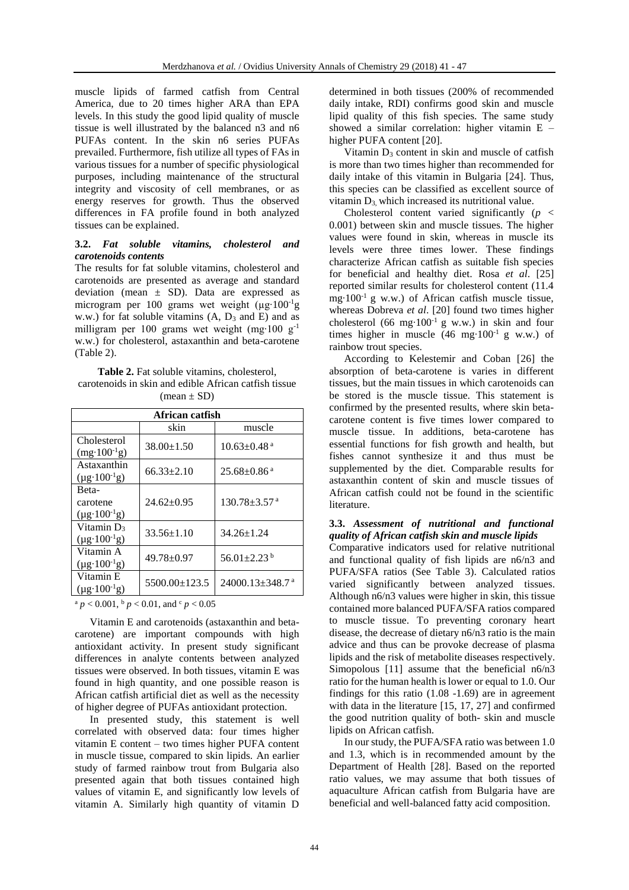muscle lipids of farmed catfish from Central America, due to 20 times higher ARA than EPA levels. In this study the good lipid quality of muscle tissue is well illustrated by the balanced n3 and n6 PUFAs content. In the skin n6 series PUFAs prevailed. Furthermore, fish utilize all types of FAs in various tissues for a number of specific physiological purposes, including maintenance of the structural integrity and viscosity of cell membranes, or as energy reserves for growth. Thus the observed differences in FA profile found in both analyzed tissues can be explained.

### **3.2.** *Fat soluble vitamins, cholesterol and carotenoids contents*

The results for fat soluble vitamins, cholesterol and carotenoids are presented as average and standard deviation (mean  $\pm$  SD). Data are expressed as microgram per 100 grams wet weight (µg∙100-1g w.w.) for fat soluble vitamins  $(A, D_3 \text{ and } E)$  and as milligram per 100 grams wet weight (mg∙100 g-1 w.w.) for cholesterol, astaxanthin and beta-carotene (Table 2).

**Table 2.** Fat soluble vitamins, cholesterol, carotenoids in skin and edible African catfish tissue  $(mean \pm SD)$ 

| African catfish                                    |                  |                                   |  |  |
|----------------------------------------------------|------------------|-----------------------------------|--|--|
|                                                    | skin             | muscle                            |  |  |
| Cholesterol<br>$(mg \cdot 100^{-1}g)$              | $38.00 \pm 1.50$ | $10.63 \pm 0.48$ <sup>a</sup>     |  |  |
| Astaxanthin<br>$(\mu g \cdot 100^{-1} g)$          | $66.33 \pm 2.10$ | $25.68 \pm 0.86$ <sup>a</sup>     |  |  |
| Beta-<br>carotene<br>$(\mu g \cdot 100^{-1} g)$    | $24.62 \pm 0.95$ | $130.78 + 3.57$ <sup>a</sup>      |  |  |
| Vitamin $D_3$<br>$(\mu g \cdot 100^{-1} g)$        | $33.56 \pm 1.10$ | $34.26 \pm 1.24$                  |  |  |
| Vitamin A<br>$(\mu g \cdot 100^{-1} g)$            | $49.78 \pm 0.97$ | $56.01 \pm 2.23$ <sup>b</sup>     |  |  |
| Vitamin <sub>E</sub><br>$(\mu g \cdot 100^{-1} g)$ | 5500.00±123.5    | $24000.13 \pm 348.7$ <sup>a</sup> |  |  |

 $a$  *p* < 0.001,  $b$  *p* < 0.01, and  $c$  *p* < 0.05

Vitamin E and carotenoids (astaxanthin and betacarotene) are important compounds with high antioxidant activity. In present study significant differences in analyte contents between analyzed tissues were observed. In both tissues, vitamin E was found in high quantity, and one possible reason is African catfish artificial diet as well as the necessity of higher degree of PUFAs antioxidant protection.

In presented study, this statement is well correlated with observed data: four times higher vitamin E content – two times higher PUFA content in muscle tissue, compared to skin lipids. An earlier study of farmed rainbow trout from Bulgaria also presented again that both tissues contained high values of vitamin E, and significantly low levels of vitamin A. Similarly high quantity of vitamin D

determined in both tissues (200% of recommended daily intake, RDI) confirms good skin and muscle lipid quality of this fish species. The same study showed a similar correlation: higher vitamin E – higher PUFA content [20].

Vitamin  $D_3$  content in skin and muscle of catfish is more than two times higher than recommended for daily intake of this vitamin in Bulgaria [24]. Thus, this species can be classified as excellent source of vitamin  $D_3$ , which increased its nutritional value.

Cholesterol content varied significantly (*p* < 0.001) between skin and muscle tissues. The higher values were found in skin, whereas in muscle its levels were three times lower. These findings characterize African catfish as suitable fish species for beneficial and healthy diet. Rosa *et al*. [25] reported similar results for cholesterol content (11.4 mg∙100-1 g w.w.) of African catfish muscle tissue, whereas Dobreva *et al*. [20] found two times higher cholesterol (66 mg⋅100<sup>-1</sup> g w.w.) in skin and four times higher in muscle (46 mg∙100-1 g w.w.) of rainbow trout species.

According to Kelestemir and Coban [26] the absorption of beta-carotene is varies in different tissues, but the main tissues in which carotenoids can be stored is the muscle tissue. This statement is confirmed by the presented results, where skin betacarotene content is five times lower compared to muscle tissue. In additions, beta-carotene has essential functions for fish growth and health, but fishes cannot synthesize it and thus must be supplemented by the diet. Comparable results for astaxanthin content of skin and muscle tissues of African catfish could not be found in the scientific literature.

# **3.3.** *Assessment of nutritional and functional quality of African catfish skin and muscle lipids*

Comparative indicators used for relative nutritional and functional quality of fish lipids are n6/n3 and PUFA/SFA ratios (See Table 3). Calculated ratios varied significantly between analyzed tissues. Although n6/n3 values were higher in skin, this tissue contained more balanced PUFA/SFA ratios compared to muscle tissue. To preventing coronary heart disease, the decrease of dietary n6/n3 ratio is the main advice and thus can be provoke decrease of plasma lipids and the risk of metabolite diseases respectively. Simopolous [11] assume that the beneficial  $n6/n3$ ratio for the human health is lower or equal to 1.0. Our findings for this ratio (1.08 -1.69) are in agreement with data in the literature [15, 17, 27] and confirmed the good nutrition quality of both- skin and muscle lipids on African catfish.

In our study, the PUFA/SFA ratio was between 1.0 and 1.3, which is in recommended amount by the Department of Health [28]. Based on the reported ratio values, we may assume that both tissues of aquaculture African catfish from Bulgaria have are beneficial and well-balanced fatty acid composition.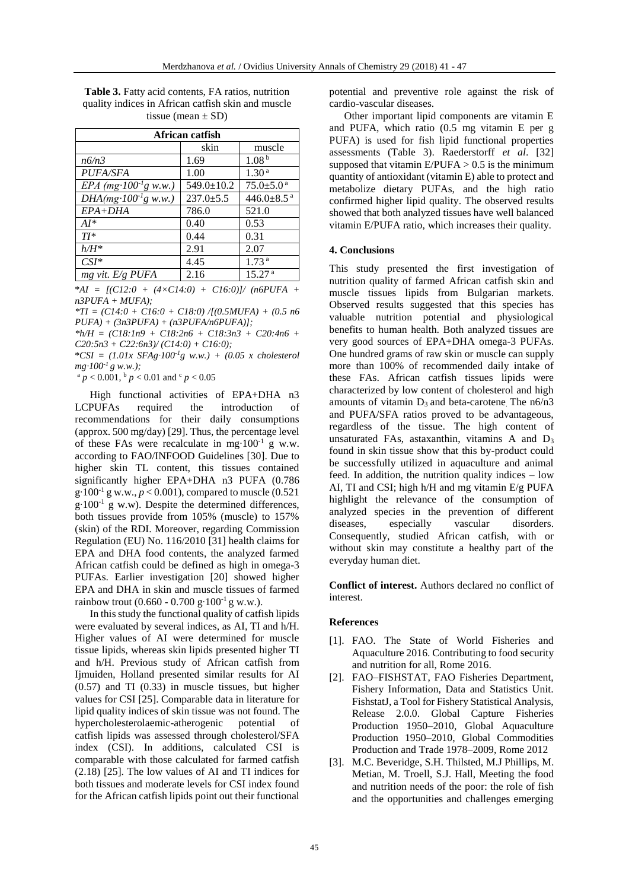**Table 3.** Fatty acid contents, FA ratios, nutrition quality indices in African catfish skin and muscle tissue (mean  $\pm$  SD)

| African catfish                     |                  |                             |  |  |  |
|-------------------------------------|------------------|-----------------------------|--|--|--|
|                                     | skin             | muscle                      |  |  |  |
| n6/n3                               | 1.69             | 1.08 <sup>b</sup>           |  |  |  |
| <b>PUFA/SFA</b>                     | 1.00             | 1.30 <sup>a</sup>           |  |  |  |
| $EPA$ (mg·100 <sup>-1</sup> g w.w.) | $549.0 \pm 10.2$ | $75.0 \pm 5.0$ <sup>a</sup> |  |  |  |
| $DHA(mg·100-1g w.w.)$               | $237.0 \pm 5.5$  | 446.0 $\pm$ 8.5 $^{\rm a}$  |  |  |  |
| $EPA+DHA$                           | 786.0            | 521.0                       |  |  |  |
| $AI*$                               | 0.40             | 0.53                        |  |  |  |
| $TI^*$                              | 0.44             | 0.31                        |  |  |  |
| $h/H^*$                             | 2.91             | 2.07                        |  |  |  |
| $CSI*$                              | 4.45             | 1.73 <sup>a</sup>           |  |  |  |
| mg vit. E/g PUFA                    | 2.16             | 15.27 <sup>a</sup>          |  |  |  |

\**AI = [(C12:0 + (4×C14:0) + C16:0)]/ (n6PUFA + n3PUFA + MUFA);* 

*\*TI = (C14:0 + C16:0 + C18:0) /[(0.5MUFA) + (0.5 n6 PUFA) + (3n3PUFA) + (n3PUFA/n6PUFA)];*

*\*h/H = (C18:1n9 + C18:2n6 + C18:3n3 + C20:4n6 + C20:5n3 + C22:6n3)/ (C14:0) + C16:0);*

\**CSI = (1.01x SFAg∙100-1g w.w.) + (0.05 x cholesterol mg∙100-1 g w.w.);*

 $a$  *p* < 0.001,  $b$  *p* < 0.01 and  $c$  *p* < 0.05

High functional activities of EPA+DHA n3 LCPUFAs required the introduction of recommendations for their daily consumptions (approx. 500 mg/day) [29]. Thus, the percentage level of these FAs were recalculate in mg∙100-1 g w.w. according to FAO/INFOOD Guidelines [30]. Due to higher skin TL content, this tissues contained significantly higher EPA+DHA n3 PUFA (0.786  $g·100<sup>-1</sup> g w.w., p < 0.001$ ), compared to muscle (0.521) g∙100-1 g w.w). Despite the determined differences, both tissues provide from 105% (muscle) to 157% (skin) of the RDI. Moreover, regarding Commission Regulation (EU) No. 116/2010 [31] health claims for EPA and DHA food contents, the analyzed farmed African catfish could be defined as high in omega-3 PUFAs. Earlier investigation [20] showed higher EPA and DHA in skin and muscle tissues of farmed rainbow trout (0.660 - 0.700 g⋅100<sup>-1</sup> g w.w.).

In this study the functional quality of catfish lipids were evaluated by several indices, as AI, TI and h/H. Higher values of AI were determined for muscle tissue lipids, whereas skin lipids presented higher TI and h/H. Previous study of African catfish from Ijmuiden, Holland presented similar results for AI (0.57) and TI (0.33) in muscle tissues, but higher values for CSI [25]. Comparable data in literature for lipid quality indices of skin tissue was not found. The hypercholesterolaemic-atherogenic potential of catfish lipids was assessed through cholesterol/SFA index (CSI). In additions, calculated CSI is comparable with those calculated for farmed catfish (2.18) [25]. The low values of AI and TI indices for both tissues and moderate levels for CSI index found for the African catfish lipids point out their functional

potential and preventive role against the risk of cardio-vascular diseases.

Other important lipid components are vitamin E and PUFA, which ratio (0.5 mg vitamin E per g PUFA) is used for fish lipid functional properties assessments (Table 3). Raederstorff *et al*. [32] supposed that vitamin  $E/PUFA > 0.5$  is the minimum quantity of antioxidant (vitamin E) able to protect and metabolize dietary PUFAs, and the high ratio confirmed higher lipid quality. The observed results showed that both analyzed tissues have well balanced vitamin E/PUFA ratio, which increases their quality.

### **4. Conclusions**

This study presented the first investigation of nutrition quality of farmed African catfish skin and muscle tissues lipids from Bulgarian markets. Observed results suggested that this species has valuable nutrition potential and physiological benefits to human health. Both analyzed tissues are very good sources of EPA+DHA omega-3 PUFAs. One hundred grams of raw skin or muscle can supply more than 100% of recommended daily intake of these FAs. African catfish tissues lipids were characterized by low content of cholesterol and high amounts of vitamin  $D_3$  and beta-carotene. The n6/n3 and PUFA/SFA ratios proved to be advantageous, regardless of the tissue. The high content of unsaturated FAs, astaxanthin, vitamins A and  $D_3$ found in skin tissue show that this by-product could be successfully utilized in aquaculture and animal feed. In addition, the nutrition quality indices – low AI, TI and CSI; high h/H and mg vitamin E/g PUFA highlight the relevance of the consumption of analyzed species in the prevention of different diseases, especially vascular disorders. diseases, especially vascular Consequently, studied African catfish, with or without skin may constitute a healthy part of the everyday human diet.

**Conflict of interest.** Authors declared no conflict of interest.

#### **References**

- [1]. FAO. The State of World Fisheries and Aquaculture 2016. Contributing to food security and nutrition for all, Rome 2016.
- [2]. FAO–FISHSTAT, FAO Fisheries Department, Fishery Information, Data and Statistics Unit. FishstatJ, a Tool for Fishery Statistical Analysis, Release 2.0.0. Global Capture Fisheries Production 1950–2010, Global Aquaculture Production 1950–2010, Global Commodities Production and Trade 1978–2009, Rome 2012
- [3]. M.C. Beveridge, S.H. Thilsted, M.J Phillips, M. Metian, M. Troell, S.J. Hall, Meeting the food and nutrition needs of the poor: the role of fish and the opportunities and challenges emerging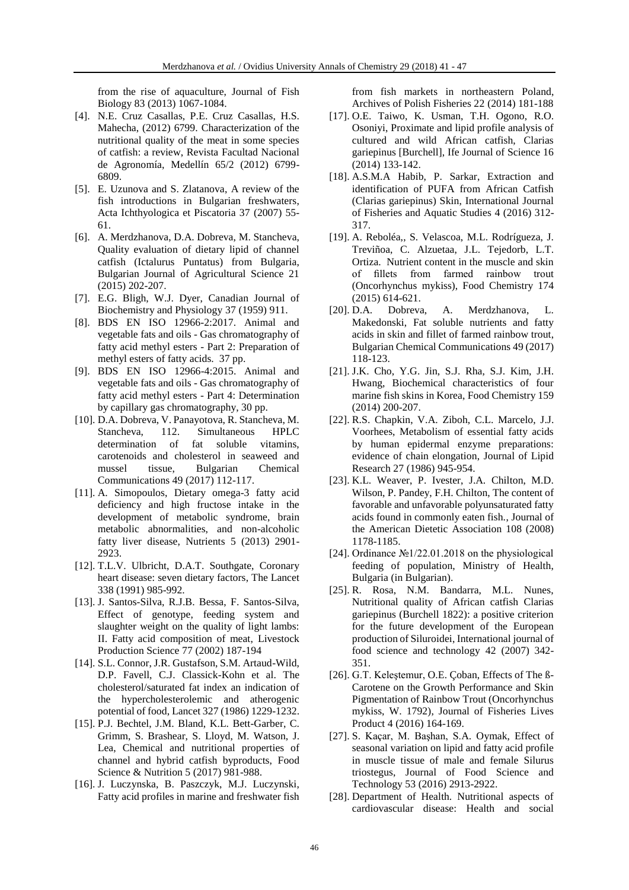from the rise of aquaculture, Journal of Fish Biology 83 (2013) 1067-1084.

- [4]. N.E. Cruz Casallas, P.E. Cruz Casallas, H.S. Mahecha, (2012) 6799. Characterization of the nutritional quality of the meat in some species of catfish: a review, Revista Facultad Nacional de Agronomía, Medellín 65/2 (2012) 6799- 6809.
- [5]. E. Uzunova and S. Zlatanova, A review of the fish introductions in Bulgarian freshwaters, Acta Ichthyologica et Piscatoria 37 (2007) 55- 61.
- [6]. A. Merdzhanova, D.A. Dobreva, M. Stancheva, Quality evaluation of dietary lipid of channel catfish (Ictalurus Puntatus) from Bulgaria, Bulgarian Journal of Agricultural Science 21 (2015) 202-207.
- [7]. E.G. Bligh, W.J. Dyer, Canadian Journal of Biochemistry and Physiology 37 (1959) 911.
- [8]. BDS EN ISO 12966-2:2017. Animal and vegetable fats and oils - Gas chromatography of fatty acid methyl esters - Part 2: Preparation of methyl esters of fatty acids. 37 pp.
- [9]. BDS EN ISO 12966-4:2015. Animal and vegetable fats and oils - Gas chromatography of fatty acid methyl esters - Part 4: Determination by capillary gas chromatography, 30 pp.
- [10]. D.A. Dobreva, V. Panayotova, R. Stancheva, M. Stancheva, 112. Simultaneous HPLC determination of fat soluble vitamins, carotenoids and cholesterol in seaweed and mussel tissue, Bulgarian Chemical Communications 49 (2017) 112-117.
- [11]. A. Simopoulos, Dietary omega-3 fatty acid deficiency and high fructose intake in the development of metabolic syndrome, brain metabolic abnormalities, and non-alcoholic fatty liver disease, Nutrients 5 (2013) 2901- 2923.
- [12]. T.L.V. Ulbricht, D.A.T. Southgate, Coronary heart disease: seven dietary factors, The Lancet 338 (1991) 985-992.
- [13]. J. Santos-Silva, R.J.B. Bessa, F. Santos-Silva, Effect of genotype, feeding system and slaughter weight on the quality of light lambs: II. Fatty acid composition of meat, Livestock Production Science 77 (2002) 187-194
- [14]. S.L. Connor, J.R. Gustafson, S.M. Artaud-Wild, D.P. Favell, C.J. Classick-Kohn et al. The cholesterol/saturated fat index an indication of the hypercholesterolemic and atherogenic potential of food, Lancet 327 (1986) 1229-1232.
- [15]. P.J. Bechtel, J.M. Bland, K.L. Bett-Garber, C. Grimm, S. Brashear, S. Lloyd, M. Watson, J. Lea, Chemical and nutritional properties of channel and hybrid catfish byproducts, Food Science & Nutrition 5 (2017) 981-988.
- [16]. J. Luczynska, B. Paszczyk, M.J. Luczynski, Fatty acid profiles in marine and freshwater fish

from fish markets in northeastern Poland, Archives of Polish Fisheries 22 (2014) 181-188

- [17]. O.E. Taiwo, K. Usman, T.H. Ogono, R.O. Osoniyi, Proximate and lipid profile analysis of cultured and wild African catfish, Clarias gariepinus [Burchell], Ife Journal of Science 16 (2014) 133-142.
- [18]. A.S.M.A Habib, P. Sarkar, Extraction and identification of PUFA from African Catfish (Clarias gariepinus) Skin, International Journal of Fisheries and Aquatic Studies 4 (2016) 312- 317.
- [19]. A. Reboléa,, S. Velascoa, M.L. Rodrígueza, J. Treviñoa, C. Alzuetaa, J.L. Tejedorb, L.T. Ortiza. Nutrient content in the muscle and skin of fillets from farmed rainbow trout (Oncorhynchus mykiss), Food Chemistry 174 (2015) 614-621.
- [20]. D.A. Dobreva, A. Merdzhanova, L. Makedonski, Fat soluble nutrients and fatty acids in skin and fillet of farmed rainbow trout, Bulgarian Chemical Communications 49 (2017) 118-123.
- [21]. J.K. Cho, Y.G. Jin, S.J. Rha, S.J. Kim, J.H. Hwang, Biochemical characteristics of four marine fish skins in Korea, Food Chemistry 159 (2014) 200-207.
- [22]. R.S. Chapkin, V.A. Ziboh, C.L. Marcelo, J.J. Voorhees, Metabolism of essential fatty acids by human epidermal enzyme preparations: evidence of chain elongation, Journal of Lipid Research 27 (1986) 945-954.
- [23]. K.L. Weaver, P. Ivester, J.A. Chilton, M.D. Wilson, P. Pandey, F.H. Chilton, The content of favorable and unfavorable polyunsaturated fatty acids found in commonly eaten fish., Journal of the American Dietetic Association 108 (2008) 1178-1185.
- [24]. Ordinance №1/22.01.2018 on the physiological feeding of population, Ministry of Health, Bulgaria (in Bulgarian).
- [25]. R. Rosa, N.M. Bandarra, M.L. Nunes, Nutritional quality of African catfish Clarias gariepinus (Burchell 1822): a positive criterion for the future development of the European production of Siluroidei, International journal of food science and technology 42 (2007) 342- 351.
- [26]. G.T. Keleştemur, O.E. Çoban, Effects of The ß-Carotene on the Growth Performance and Skin Pigmentation of Rainbow Trout (Oncorhynchus mykiss, W. 1792), Journal of Fisheries Lives Product 4 (2016) 164-169.
- [27]. S. Kaçar, M. Başhan, S.A. Oymak, Effect of seasonal variation on lipid and fatty acid profile in muscle tissue of male and female Silurus triostegus, Journal of Food Science and Technology 53 (2016) 2913-2922.
- [28]. Department of Health. Nutritional aspects of cardiovascular disease: Health and social